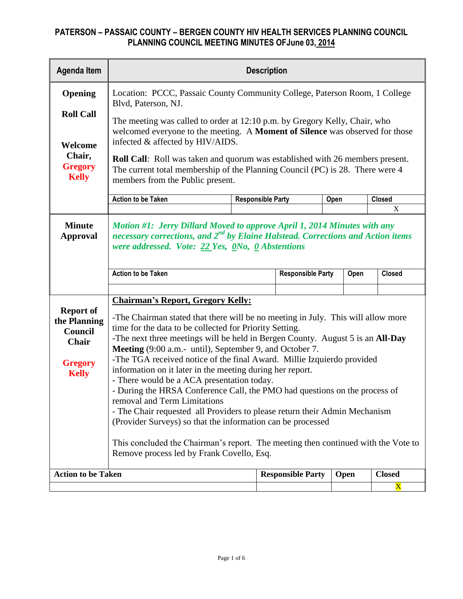| <b>Agenda Item</b>                                                                                                                                                                                                                                    | <b>Description</b>                                                                                                                                                                                                                                                                                                                                                                                                                                                                                                                                                                                                                                                                                                                                                                                                                                                                                                     |                                                                            |                          |      |      |               |  |  |  |  |  |  |
|-------------------------------------------------------------------------------------------------------------------------------------------------------------------------------------------------------------------------------------------------------|------------------------------------------------------------------------------------------------------------------------------------------------------------------------------------------------------------------------------------------------------------------------------------------------------------------------------------------------------------------------------------------------------------------------------------------------------------------------------------------------------------------------------------------------------------------------------------------------------------------------------------------------------------------------------------------------------------------------------------------------------------------------------------------------------------------------------------------------------------------------------------------------------------------------|----------------------------------------------------------------------------|--------------------------|------|------|---------------|--|--|--|--|--|--|
| Opening                                                                                                                                                                                                                                               | Blvd, Paterson, NJ.                                                                                                                                                                                                                                                                                                                                                                                                                                                                                                                                                                                                                                                                                                                                                                                                                                                                                                    | Location: PCCC, Passaic County Community College, Paterson Room, 1 College |                          |      |      |               |  |  |  |  |  |  |
| <b>Roll Call</b>                                                                                                                                                                                                                                      | The meeting was called to order at 12:10 p.m. by Gregory Kelly, Chair, who<br>welcomed everyone to the meeting. A Moment of Silence was observed for those                                                                                                                                                                                                                                                                                                                                                                                                                                                                                                                                                                                                                                                                                                                                                             |                                                                            |                          |      |      |               |  |  |  |  |  |  |
| Welcome                                                                                                                                                                                                                                               | infected & affected by HIV/AIDS.                                                                                                                                                                                                                                                                                                                                                                                                                                                                                                                                                                                                                                                                                                                                                                                                                                                                                       |                                                                            |                          |      |      |               |  |  |  |  |  |  |
| Chair,<br><b>Roll Call:</b> Roll was taken and quorum was established with 26 members present.<br><b>Gregory</b><br>The current total membership of the Planning Council (PC) is 28. There were 4<br><b>Kelly</b><br>members from the Public present. |                                                                                                                                                                                                                                                                                                                                                                                                                                                                                                                                                                                                                                                                                                                                                                                                                                                                                                                        |                                                                            |                          |      |      |               |  |  |  |  |  |  |
|                                                                                                                                                                                                                                                       | <b>Action to be Taken</b>                                                                                                                                                                                                                                                                                                                                                                                                                                                                                                                                                                                                                                                                                                                                                                                                                                                                                              | <b>Responsible Party</b>                                                   |                          | Open |      | <b>Closed</b> |  |  |  |  |  |  |
|                                                                                                                                                                                                                                                       |                                                                                                                                                                                                                                                                                                                                                                                                                                                                                                                                                                                                                                                                                                                                                                                                                                                                                                                        |                                                                            |                          |      |      | X             |  |  |  |  |  |  |
| <b>Minute</b><br><b>Approval</b>                                                                                                                                                                                                                      | Motion #1: Jerry Dillard Moved to approve April 1, 2014 Minutes with any<br>necessary corrections, and $2^{nd}$ by Elaine Halstead. Corrections and Action items<br>were addressed. Vote: $22$ Yes, $0$ No, $0$ Abstentions                                                                                                                                                                                                                                                                                                                                                                                                                                                                                                                                                                                                                                                                                            |                                                                            |                          |      |      |               |  |  |  |  |  |  |
|                                                                                                                                                                                                                                                       | <b>Action to be Taken</b>                                                                                                                                                                                                                                                                                                                                                                                                                                                                                                                                                                                                                                                                                                                                                                                                                                                                                              |                                                                            | <b>Responsible Party</b> |      | Open | <b>Closed</b> |  |  |  |  |  |  |
|                                                                                                                                                                                                                                                       |                                                                                                                                                                                                                                                                                                                                                                                                                                                                                                                                                                                                                                                                                                                                                                                                                                                                                                                        |                                                                            |                          |      |      |               |  |  |  |  |  |  |
| <b>Report of</b><br>the Planning<br>Council<br><b>Chair</b><br><b>Gregory</b><br><b>Kelly</b>                                                                                                                                                         | <b>Chairman's Report, Gregory Kelly:</b><br>-The Chairman stated that there will be no meeting in July. This will allow more<br>time for the data to be collected for Priority Setting.<br>-The next three meetings will be held in Bergen County. August 5 is an All-Day<br>Meeting (9:00 a.m.- until), September 9, and October 7.<br>-The TGA received notice of the final Award. Millie Izquierdo provided<br>information on it later in the meeting during her report.<br>- There would be a ACA presentation today.<br>- During the HRSA Conference Call, the PMO had questions on the process of<br>removal and Term Limitations<br>- The Chair requested all Providers to please return their Admin Mechanism<br>(Provider Surveys) so that the information can be processed<br>This concluded the Chairman's report. The meeting then continued with the Vote to<br>Remove process led by Frank Covello, Esq. |                                                                            |                          |      |      |               |  |  |  |  |  |  |
| <b>Action to be Taken</b>                                                                                                                                                                                                                             |                                                                                                                                                                                                                                                                                                                                                                                                                                                                                                                                                                                                                                                                                                                                                                                                                                                                                                                        |                                                                            | <b>Responsible Party</b> |      | Open | <b>Closed</b> |  |  |  |  |  |  |
|                                                                                                                                                                                                                                                       |                                                                                                                                                                                                                                                                                                                                                                                                                                                                                                                                                                                                                                                                                                                                                                                                                                                                                                                        |                                                                            |                          |      |      | X             |  |  |  |  |  |  |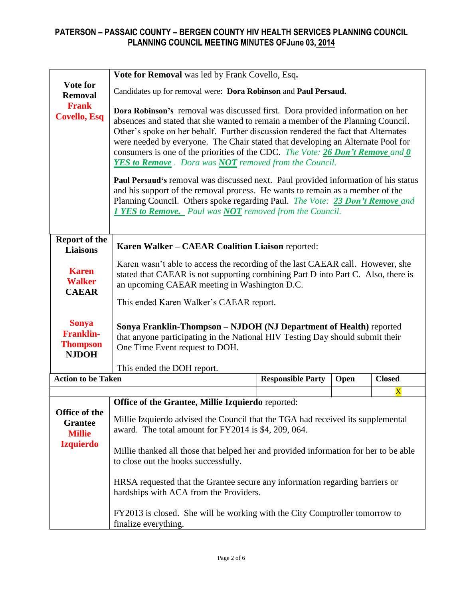|                                                                      | Vote for Removal was led by Frank Covello, Esq.                                                                                                                                                                                                                                                                                                                                                                                                                                                                                                                                                                                                                                                                                                                                                                            |                          |      |               |  |  |  |  |  |  |  |  |
|----------------------------------------------------------------------|----------------------------------------------------------------------------------------------------------------------------------------------------------------------------------------------------------------------------------------------------------------------------------------------------------------------------------------------------------------------------------------------------------------------------------------------------------------------------------------------------------------------------------------------------------------------------------------------------------------------------------------------------------------------------------------------------------------------------------------------------------------------------------------------------------------------------|--------------------------|------|---------------|--|--|--|--|--|--|--|--|
| Vote for<br><b>Removal</b>                                           | Candidates up for removal were: Dora Robinson and Paul Persaud.                                                                                                                                                                                                                                                                                                                                                                                                                                                                                                                                                                                                                                                                                                                                                            |                          |      |               |  |  |  |  |  |  |  |  |
| <b>Frank</b><br><b>Covello, Esq</b>                                  | Dora Robinson's removal was discussed first. Dora provided information on her<br>absences and stated that she wanted to remain a member of the Planning Council.<br>Other's spoke on her behalf. Further discussion rendered the fact that Alternates<br>were needed by everyone. The Chair stated that developing an Alternate Pool for<br>consumers is one of the priorities of the CDC. The Vote: 26 Don't Remove and 0<br>YES to Remove. Dora was NOT removed from the Council.<br><b>Paul Persaud's removal was discussed next. Paul provided information of his status</b><br>and his support of the removal process. He wants to remain as a member of the<br>Planning Council. Others spoke regarding Paul. The Vote: 23 Don't Remove and<br><b>1 YES to Remove.</b> Paul was <b>NOT</b> removed from the Council. |                          |      |               |  |  |  |  |  |  |  |  |
|                                                                      |                                                                                                                                                                                                                                                                                                                                                                                                                                                                                                                                                                                                                                                                                                                                                                                                                            |                          |      |               |  |  |  |  |  |  |  |  |
| <b>Report of the</b><br><b>Liaisons</b>                              | Karen Walker - CAEAR Coalition Liaison reported:                                                                                                                                                                                                                                                                                                                                                                                                                                                                                                                                                                                                                                                                                                                                                                           |                          |      |               |  |  |  |  |  |  |  |  |
| <b>Karen</b><br><b>Walker</b><br><b>CAEAR</b>                        | Karen wasn't able to access the recording of the last CAEAR call. However, she<br>stated that CAEAR is not supporting combining Part D into Part C. Also, there is<br>an upcoming CAEAR meeting in Washington D.C.<br>This ended Karen Walker's CAEAR report.                                                                                                                                                                                                                                                                                                                                                                                                                                                                                                                                                              |                          |      |               |  |  |  |  |  |  |  |  |
| <b>Sonya</b><br><b>Franklin-</b><br><b>Thompson</b><br><b>NJDOH</b>  | Sonya Franklin-Thompson - NJDOH (NJ Department of Health) reported<br>that anyone participating in the National HIV Testing Day should submit their<br>One Time Event request to DOH.                                                                                                                                                                                                                                                                                                                                                                                                                                                                                                                                                                                                                                      |                          |      |               |  |  |  |  |  |  |  |  |
| <b>Action to be Taken</b>                                            | This ended the DOH report.                                                                                                                                                                                                                                                                                                                                                                                                                                                                                                                                                                                                                                                                                                                                                                                                 | <b>Responsible Party</b> | Open | <b>Closed</b> |  |  |  |  |  |  |  |  |
|                                                                      |                                                                                                                                                                                                                                                                                                                                                                                                                                                                                                                                                                                                                                                                                                                                                                                                                            |                          |      |               |  |  |  |  |  |  |  |  |
| Office of the<br><b>Grantee</b><br><b>Millie</b><br><b>Izquierdo</b> | $\overline{\textbf{X}}$<br>Office of the Grantee, Millie Izquierdo reported:<br>Millie Izquierdo advised the Council that the TGA had received its supplemental<br>award. The total amount for FY2014 is \$4, 209, 064.<br>Millie thanked all those that helped her and provided information for her to be able<br>to close out the books successfully.<br>HRSA requested that the Grantee secure any information regarding barriers or<br>hardships with ACA from the Providers.<br>FY2013 is closed. She will be working with the City Comptroller tomorrow to<br>finalize everything.                                                                                                                                                                                                                                   |                          |      |               |  |  |  |  |  |  |  |  |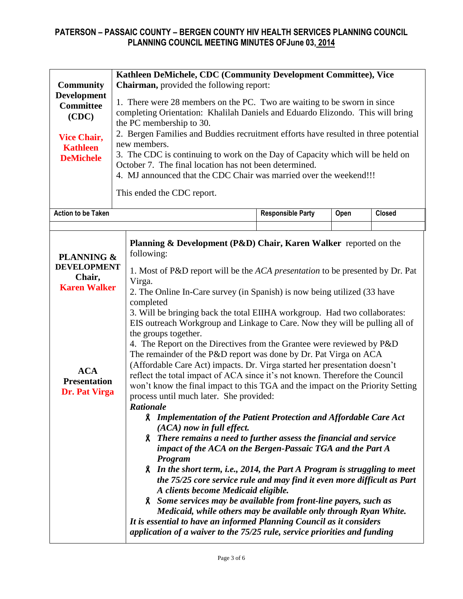|                                                 | Kathleen DeMichele, CDC (Community Development Committee), Vice           |                                                                                                                                                             |                                                                             |      |               |  |  |  |  |  |  |  |
|-------------------------------------------------|---------------------------------------------------------------------------|-------------------------------------------------------------------------------------------------------------------------------------------------------------|-----------------------------------------------------------------------------|------|---------------|--|--|--|--|--|--|--|
| <b>Community</b>                                | <b>Chairman, provided the following report:</b>                           |                                                                                                                                                             |                                                                             |      |               |  |  |  |  |  |  |  |
| <b>Development</b><br><b>Committee</b><br>(CDC) |                                                                           | 1. There were 28 members on the PC. Two are waiting to be sworn in since<br>completing Orientation: Khalilah Daniels and Eduardo Elizondo. This will bring  |                                                                             |      |               |  |  |  |  |  |  |  |
|                                                 |                                                                           | the PC membership to 30.                                                                                                                                    |                                                                             |      |               |  |  |  |  |  |  |  |
| <b>Vice Chair,</b>                              |                                                                           | 2. Bergen Families and Buddies recruitment efforts have resulted in three potential<br>new members.                                                         |                                                                             |      |               |  |  |  |  |  |  |  |
| <b>Kathleen</b>                                 |                                                                           | 3. The CDC is continuing to work on the Day of Capacity which will be held on                                                                               |                                                                             |      |               |  |  |  |  |  |  |  |
| <b>DeMichele</b>                                |                                                                           | October 7. The final location has not been determined.                                                                                                      |                                                                             |      |               |  |  |  |  |  |  |  |
|                                                 |                                                                           | 4. MJ announced that the CDC Chair was married over the weekend!!!                                                                                          |                                                                             |      |               |  |  |  |  |  |  |  |
|                                                 |                                                                           | This ended the CDC report.                                                                                                                                  |                                                                             |      |               |  |  |  |  |  |  |  |
| <b>Action to be Taken</b>                       |                                                                           |                                                                                                                                                             | <b>Responsible Party</b>                                                    | Open | <b>Closed</b> |  |  |  |  |  |  |  |
|                                                 |                                                                           |                                                                                                                                                             |                                                                             |      |               |  |  |  |  |  |  |  |
|                                                 |                                                                           | Planning & Development (P&D) Chair, Karen Walker reported on the                                                                                            |                                                                             |      |               |  |  |  |  |  |  |  |
| <b>PLANNING &amp;</b>                           |                                                                           | following:                                                                                                                                                  |                                                                             |      |               |  |  |  |  |  |  |  |
| <b>DEVELOPMENT</b>                              |                                                                           |                                                                                                                                                             |                                                                             |      |               |  |  |  |  |  |  |  |
| Chair,                                          |                                                                           | 1. Most of P&D report will be the <i>ACA presentation</i> to be presented by Dr. Pat<br>Virga.                                                              |                                                                             |      |               |  |  |  |  |  |  |  |
| <b>Karen Walker</b>                             |                                                                           | 2. The Online In-Care survey (in Spanish) is now being utilized (33 have                                                                                    |                                                                             |      |               |  |  |  |  |  |  |  |
|                                                 |                                                                           | completed                                                                                                                                                   |                                                                             |      |               |  |  |  |  |  |  |  |
|                                                 |                                                                           |                                                                                                                                                             | 3. Will be bringing back the total EIIHA workgroup. Had two collaborates:   |      |               |  |  |  |  |  |  |  |
|                                                 |                                                                           |                                                                                                                                                             | EIS outreach Workgroup and Linkage to Care. Now they will be pulling all of |      |               |  |  |  |  |  |  |  |
|                                                 |                                                                           | the groups together.<br>4. The Report on the Directives from the Grantee were reviewed by P&D                                                               |                                                                             |      |               |  |  |  |  |  |  |  |
|                                                 |                                                                           | The remainder of the P&D report was done by Dr. Pat Virga on ACA                                                                                            |                                                                             |      |               |  |  |  |  |  |  |  |
|                                                 |                                                                           | (Affordable Care Act) impacts. Dr. Virga started her presentation doesn't                                                                                   |                                                                             |      |               |  |  |  |  |  |  |  |
| <b>ACA</b><br><b>Presentation</b>               |                                                                           | reflect the total impact of ACA since it's not known. Therefore the Council                                                                                 |                                                                             |      |               |  |  |  |  |  |  |  |
| Dr. Pat Virga                                   |                                                                           | won't know the final impact to this TGA and the impact on the Priority Setting                                                                              |                                                                             |      |               |  |  |  |  |  |  |  |
|                                                 |                                                                           | process until much later. She provided:                                                                                                                     |                                                                             |      |               |  |  |  |  |  |  |  |
|                                                 |                                                                           | <b>Rationale</b><br><b>A</b> Implementation of the Patient Protection and Affordable Care Act                                                               |                                                                             |      |               |  |  |  |  |  |  |  |
|                                                 |                                                                           | $(ACA)$ now in full effect.                                                                                                                                 |                                                                             |      |               |  |  |  |  |  |  |  |
|                                                 |                                                                           | 8. There remains a need to further assess the financial and service                                                                                         |                                                                             |      |               |  |  |  |  |  |  |  |
|                                                 |                                                                           | impact of the ACA on the Bergen-Passaic TGA and the Part A                                                                                                  |                                                                             |      |               |  |  |  |  |  |  |  |
|                                                 |                                                                           | Program                                                                                                                                                     |                                                                             |      |               |  |  |  |  |  |  |  |
|                                                 |                                                                           | <b>A</b> In the short term, i.e., 2014, the Part A Program is struggling to meet<br>the 75/25 core service rule and may find it even more difficult as Part |                                                                             |      |               |  |  |  |  |  |  |  |
|                                                 | A clients become Medicaid eligible.                                       |                                                                                                                                                             |                                                                             |      |               |  |  |  |  |  |  |  |
|                                                 |                                                                           | 8. Some services may be available from front-line payers, such as                                                                                           |                                                                             |      |               |  |  |  |  |  |  |  |
|                                                 |                                                                           | Medicaid, while others may be available only through Ryan White.                                                                                            |                                                                             |      |               |  |  |  |  |  |  |  |
|                                                 |                                                                           | It is essential to have an informed Planning Council as it considers                                                                                        |                                                                             |      |               |  |  |  |  |  |  |  |
|                                                 | application of a waiver to the 75/25 rule, service priorities and funding |                                                                                                                                                             |                                                                             |      |               |  |  |  |  |  |  |  |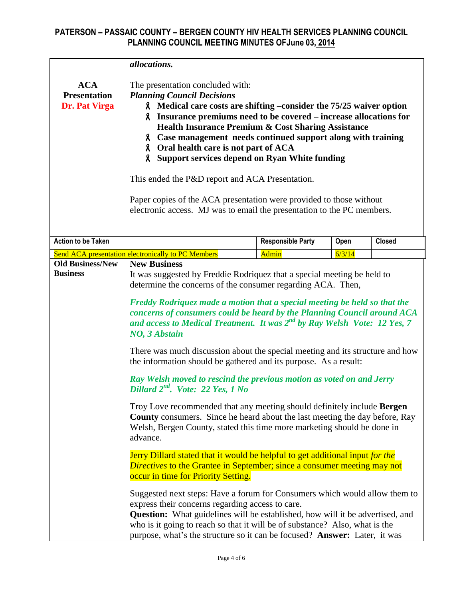| <b>ACA</b><br><b>Presentation</b>          | allocations.<br>The presentation concluded with:<br><b>Planning Council Decisions</b>                                                                                                                                                                                                                                                                                                                                                                                                                                                                                               |                                                                                                                                                                                                                                                                                                                                                                                                                                                                                                                                                                                                                                                                                                                                                                                                                                                                                                                                                                                                                                                                                                                                   |        |               |  |  |  |  |  |  |  |
|--------------------------------------------|-------------------------------------------------------------------------------------------------------------------------------------------------------------------------------------------------------------------------------------------------------------------------------------------------------------------------------------------------------------------------------------------------------------------------------------------------------------------------------------------------------------------------------------------------------------------------------------|-----------------------------------------------------------------------------------------------------------------------------------------------------------------------------------------------------------------------------------------------------------------------------------------------------------------------------------------------------------------------------------------------------------------------------------------------------------------------------------------------------------------------------------------------------------------------------------------------------------------------------------------------------------------------------------------------------------------------------------------------------------------------------------------------------------------------------------------------------------------------------------------------------------------------------------------------------------------------------------------------------------------------------------------------------------------------------------------------------------------------------------|--------|---------------|--|--|--|--|--|--|--|
| Dr. Pat Virga                              | <b>A</b> Medical care costs are shifting –consider the 75/25 waiver option<br>8. Insurance premiums need to be covered – increase allocations for<br><b>Health Insurance Premium &amp; Cost Sharing Assistance</b><br>8 Case management needs continued support along with training<br>8 Oral health care is not part of ACA<br>8 Support services depend on Ryan White funding<br>This ended the P&D report and ACA Presentation.<br>Paper copies of the ACA presentation were provided to those without<br>electronic access. MJ was to email the presentation to the PC members. |                                                                                                                                                                                                                                                                                                                                                                                                                                                                                                                                                                                                                                                                                                                                                                                                                                                                                                                                                                                                                                                                                                                                   |        |               |  |  |  |  |  |  |  |
| <b>Action to be Taken</b>                  |                                                                                                                                                                                                                                                                                                                                                                                                                                                                                                                                                                                     | <b>Responsible Party</b>                                                                                                                                                                                                                                                                                                                                                                                                                                                                                                                                                                                                                                                                                                                                                                                                                                                                                                                                                                                                                                                                                                          | Open   | <b>Closed</b> |  |  |  |  |  |  |  |
|                                            | Send ACA presentation electronically to PC Members                                                                                                                                                                                                                                                                                                                                                                                                                                                                                                                                  | Admin                                                                                                                                                                                                                                                                                                                                                                                                                                                                                                                                                                                                                                                                                                                                                                                                                                                                                                                                                                                                                                                                                                                             | 6/3/14 |               |  |  |  |  |  |  |  |
| <b>Old Business/New</b><br><b>Business</b> | NO, 3 Abstain<br>Dillard 2 <sup>nd</sup> . Vote: 22 Yes, 1 No<br>advance.<br>occur in time for Priority Setting.<br>express their concerns regarding access to care.<br><b>Question:</b> What guidelines will be established, how will it be advertised, and<br>who is it going to reach so that it will be of substance? Also, what is the                                                                                                                                                                                                                                         | <b>New Business</b><br>It was suggested by Freddie Rodriquez that a special meeting be held to<br>determine the concerns of the consumer regarding ACA. Then,<br>Freddy Rodriquez made a motion that a special meeting be held so that the<br>concerns of consumers could be heard by the Planning Council around ACA<br>and access to Medical Treatment. It was $2^{nd}$ by Ray Welsh Vote: 12 Yes, 7<br>There was much discussion about the special meeting and its structure and how<br>the information should be gathered and its purpose. As a result:<br>Ray Welsh moved to rescind the previous motion as voted on and Jerry<br>Troy Love recommended that any meeting should definitely include Bergen<br><b>County</b> consumers. Since he heard about the last meeting the day before, Ray<br>Welsh, Bergen County, stated this time more marketing should be done in<br>Jerry Dillard stated that it would be helpful to get additional input for the<br><i>Directives</i> to the Grantee in September; since a consumer meeting may not<br>Suggested next steps: Have a forum for Consumers which would allow them to |        |               |  |  |  |  |  |  |  |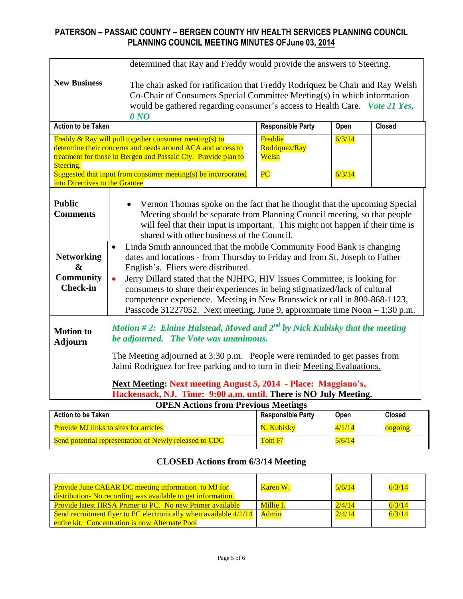| determined that Ray and Freddy would provide the answers to Steering.         |           |                                                                                                                                                                                                                                                                                                                                                                                                                                                                                                                  |                                   |        |               |  |  |  |  |
|-------------------------------------------------------------------------------|-----------|------------------------------------------------------------------------------------------------------------------------------------------------------------------------------------------------------------------------------------------------------------------------------------------------------------------------------------------------------------------------------------------------------------------------------------------------------------------------------------------------------------------|-----------------------------------|--------|---------------|--|--|--|--|
| <b>New Business</b>                                                           |           | The chair asked for ratification that Freddy Rodriquez be Chair and Ray Welsh<br>Co-Chair of Consumers Special Committee Meeting(s) in which information<br>would be gathered regarding consumer's access to Health Care. Vote 21 Yes,<br>0 <sub>N</sub>                                                                                                                                                                                                                                                         |                                   |        |               |  |  |  |  |
| <b>Action to be Taken</b>                                                     |           |                                                                                                                                                                                                                                                                                                                                                                                                                                                                                                                  | <b>Responsible Party</b>          | Open   | <b>Closed</b> |  |  |  |  |
| Steering.                                                                     |           | Freddy $\&$ Ray will pull together consumer meeting(s) to<br>determine their concerns and needs around ACA and access to<br>treatment for those in Bergen and Passaic Cty. Provide plan to                                                                                                                                                                                                                                                                                                                       | Freddie<br>Rodriquez/Ray<br>Welsh | 6/3/14 |               |  |  |  |  |
| into Directives to the Grantee                                                |           | Suggested that input from consumer meeting(s) be incorporated                                                                                                                                                                                                                                                                                                                                                                                                                                                    | PC                                | 6/3/14 |               |  |  |  |  |
| <b>Public</b><br><b>Comments</b>                                              |           | Vernon Thomas spoke on the fact that he thought that the upcoming Special<br>Meeting should be separate from Planning Council meeting, so that people<br>will feel that their input is important. This might not happen if their time is<br>shared with other business of the Council.                                                                                                                                                                                                                           |                                   |        |               |  |  |  |  |
| <b>Networking</b><br>$\boldsymbol{\&}$<br><b>Community</b><br><b>Check-in</b> | $\bullet$ | Linda Smith announced that the mobile Community Food Bank is changing<br>dates and locations - from Thursday to Friday and from St. Joseph to Father<br>English's. Fliers were distributed.<br>Jerry Dillard stated that the NJHPG, HIV Issues Committee, is looking for<br>consumers to share their experiences in being stigmatized/lack of cultural<br>competence experience. Meeting in New Brunswick or call in 800-868-1123,<br>Passcode 31227052. Next meeting, June 9, approximate time Noon – 1:30 p.m. |                                   |        |               |  |  |  |  |
| <b>Motion to</b><br><b>Adjourn</b>                                            |           | Motion #2: Elaine Halstead, Moved and $2^{nd}$ by Nick Kubisky that the meeting<br>be adjourned. The Vote was unanimous.<br>The Meeting adjourned at 3:30 p.m. People were reminded to get passes from<br>Jaimi Rodriguez for free parking and to turn in their Meeting Evaluations.<br>Next Meeting: Next meeting August 5, 2014 - Place: Maggiano's,                                                                                                                                                           |                                   |        |               |  |  |  |  |
|                                                                               |           | Hackensack, NJ. Time: 9:00 a.m. until. There is NO July Meeting.                                                                                                                                                                                                                                                                                                                                                                                                                                                 |                                   |        |               |  |  |  |  |
|                                                                               |           | <b>OPEN Actions from Previous Meetings</b>                                                                                                                                                                                                                                                                                                                                                                                                                                                                       |                                   |        |               |  |  |  |  |

| <b>Action to be Taken</b>                              | <b>Responsible Party</b> | Open   | <b>Closed</b> |
|--------------------------------------------------------|--------------------------|--------|---------------|
| <b>Provide MJ links to sites for articles</b>          | N. Kubisky               | 4/1/14 | ongoing       |
| Send potential representation of Newly released to CDC | Tom $F/$                 | 5/6/14 |               |

# **CLOSED Actions from 6/3/14 Meeting**

| <b>Provide June CAEAR DC meeting information to MJ for</b>          | Karen W.         | 5/6/14 | 6/3/14 |
|---------------------------------------------------------------------|------------------|--------|--------|
| distribution- No recording was available to get information.        |                  |        |        |
| <b>Provide latest HRSA Primer to PC. No new Primer available</b>    | <b>Millie I.</b> | 2/4/14 | 6/3/14 |
| Send recruitment flyer to PC electronically when available $4/1/14$ | Admin            | 2/4/14 | 6/3/14 |
| entire kit. Concentration is now Alternate Pool                     |                  |        |        |